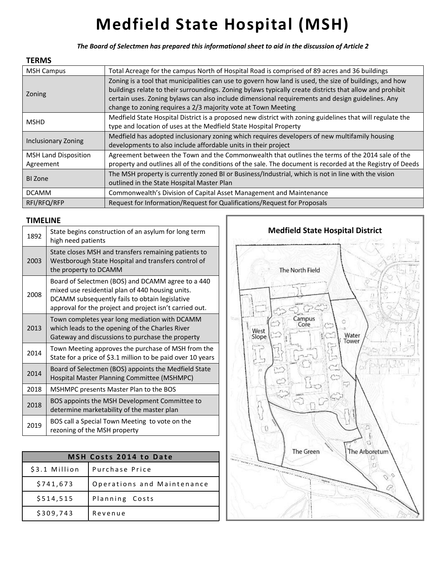## **Medfield State Hospital (MSH)**

*The Board of Selectmen has prepared this informational sheet to aid in the discussion of Article 2* 

## **TERMS**

| <b>MSH Campus</b>                        | Total Acreage for the campus North of Hospital Road is comprised of 89 acres and 36 buildings                                                                                                                                                                                                                                                                                            |  |
|------------------------------------------|------------------------------------------------------------------------------------------------------------------------------------------------------------------------------------------------------------------------------------------------------------------------------------------------------------------------------------------------------------------------------------------|--|
| Zoning                                   | Zoning is a tool that municipalities can use to govern how land is used, the size of buildings, and how<br>buildings relate to their surroundings. Zoning bylaws typically create districts that allow and prohibit<br>certain uses. Zoning bylaws can also include dimensional requirements and design guidelines. Any<br>change to zoning requires a 2/3 majority vote at Town Meeting |  |
| <b>MSHD</b>                              | Medfield State Hospital District is a proposed new district with zoning guidelines that will regulate the<br>type and location of uses at the Medfield State Hospital Property                                                                                                                                                                                                           |  |
| Inclusionary Zoning                      | Medfield has adopted inclusionary zoning which requires developers of new multifamily housing<br>developments to also include affordable units in their project                                                                                                                                                                                                                          |  |
| <b>MSH Land Disposition</b><br>Agreement | Agreement between the Town and the Commonwealth that outlines the terms of the 2014 sale of the<br>property and outlines all of the conditions of the sale. The document is recorded at the Registry of Deeds                                                                                                                                                                            |  |
| <b>BI</b> Zone                           | The MSH property is currently zoned BI or Business/Industrial, which is not in line with the vision<br>outlined in the State Hospital Master Plan                                                                                                                                                                                                                                        |  |
| <b>DCAMM</b>                             | Commonwealth's Division of Capital Asset Management and Maintenance                                                                                                                                                                                                                                                                                                                      |  |
| RFI/RFQ/RFP                              | Request for Information/Request for Qualifications/Request for Proposals                                                                                                                                                                                                                                                                                                                 |  |

## **TIMELINE**

| 1892 | State begins construction of an asylum for long term<br>high need patients                                                                                                                                         |
|------|--------------------------------------------------------------------------------------------------------------------------------------------------------------------------------------------------------------------|
| 2003 | State closes MSH and transfers remaining patients to<br>Westborough State Hospital and transfers control of<br>the property to DCAMM                                                                               |
| 2008 | Board of Selectmen (BOS) and DCAMM agree to a 440<br>mixed use residential plan of 440 housing units.<br>DCAMM subsequently fails to obtain legislative<br>approval for the project and project isn't carried out. |
| 2013 | Town completes year long mediation with DCAMM<br>which leads to the opening of the Charles River<br>Gateway and discussions to purchase the property                                                               |
| 2014 | Town Meeting approves the purchase of MSH from the<br>State for a price of \$3.1 million to be paid over 10 years                                                                                                  |
| 2014 | Board of Selectmen (BOS) appoints the Medfield State<br>Hospital Master Planning Committee (MSHMPC)                                                                                                                |
| 2018 | MSHMPC presents Master Plan to the BOS                                                                                                                                                                             |
| 2018 | BOS appoints the MSH Development Committee to<br>determine marketability of the master plan                                                                                                                        |
| 2019 | BOS call a Special Town Meeting to vote on the<br>rezoning of the MSH property                                                                                                                                     |

| <b>MSH Costs 2014 to Date</b> |                            |  |  |
|-------------------------------|----------------------------|--|--|
| \$3.1 Million                 | Purchase Price             |  |  |
| \$741,673                     | Operations and Maintenance |  |  |
| \$514,515                     | Planning Costs             |  |  |
| \$309,743                     | Revenue                    |  |  |